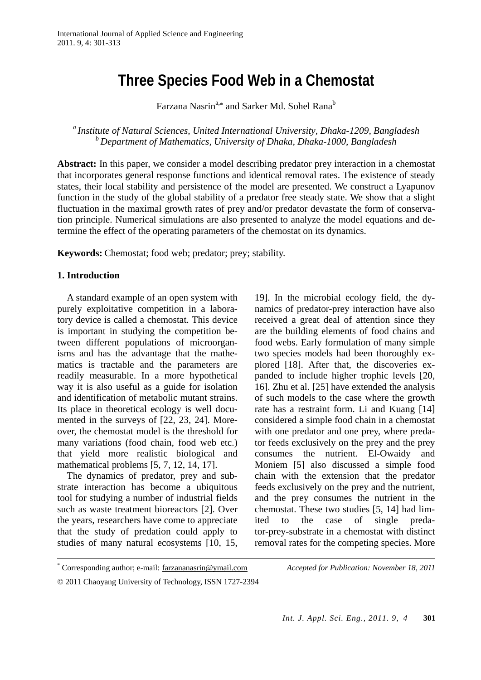# **Three Species Food Web in a Chemostat**

Farzana Nasrin<sup>a,\*</sup> and Sarker Md. Sohel Rana<sup>b</sup>

*a Institute of Natural Sciences, United International University, Dhaka-1209, Bangladesh b Department of Mathematics, University of Dhaka, Dhaka-1000, Bangladesh* 

**Abstract:** In this paper, we consider a model describing predator prey interaction in a chemostat that incorporates general response functions and identical removal rates. The existence of steady states, their local stability and persistence of the model are presented. We construct a Lyapunov function in the study of the global stability of a predator free steady state. We show that a slight fluctuation in the maximal growth rates of prey and/or predator devastate the form of conservation principle. Numerical simulations are also presented to analyze the model equations and determine the effect of the operating parameters of the chemostat on its dynamics.

**Keywords:** Chemostat; food web; predator; prey; stability.

### **1. Introduction**

 A standard example of an open system with purely exploitative competition in a laboratory device is called a chemostat. This device is important in studying the competition between different populations of microorganisms and has the advantage that the mathematics is tractable and the parameters are readily measurable. In a more hypothetical way it is also useful as a guide for isolation and identification of metabolic mutant strains. Its place in theoretical ecology is well documented in the surveys of [22, 23, 24]. Moreover, the chemostat model is the threshold for many variations (food chain, food web etc.) that yield more realistic biological and mathematical problems [5, 7, 12, 14, 17].

The dynamics of predator, prey and substrate interaction has become a ubiquitous tool for studying a number of industrial fields such as waste treatment bioreactors [2]. Over the years, researchers have come to appreciate that the study of predation could apply to studies of many natural ecosystems [10, 15,

19]. In the microbial ecology field, the dynamics of predator-prey interaction have also received a great deal of attention since they are the building elements of food chains and food webs. Early formulation of many simple two species models had been thoroughly explored [18]. After that, the discoveries expanded to include higher trophic levels [20, 16]. Zhu et al. [25] have extended the analysis of such models to the case where the growth rate has a restraint form. Li and Kuang [14] considered a simple food chain in a chemostat with one predator and one prey, where predator feeds exclusively on the prey and the prey consumes the nutrient. El-Owaidy and Moniem [5] also discussed a simple food chain with the extension that the predator feeds exclusively on the prey and the nutrient, and the prey consumes the nutrient in the chemostat. These two studies [5, 14] had limited to the case of single predator-prey-substrate in a chemostat with distinct removal rates for the competing species. More

 <sup>\*</sup> Corresponding author; e-mail: farzananasrin@ymail.com *Accepted for Publication: November 18, 2011*

<sup>© 2011</sup> Chaoyang University of Technology, ISSN 1727-2394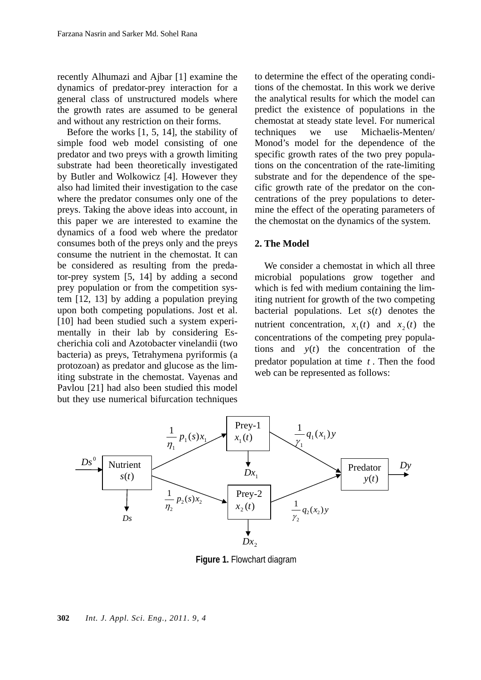recently Alhumazi and Ajbar [1] examine the dynamics of predator-prey interaction for a general class of unstructured models where the growth rates are assumed to be general and without any restriction on their forms.

Before the works [1, 5, 14], the stability of simple food web model consisting of one predator and two preys with a growth limiting substrate had been theoretically investigated by Butler and Wolkowicz [4]. However they also had limited their investigation to the case where the predator consumes only one of the preys. Taking the above ideas into account, in this paper we are interested to examine the dynamics of a food web where the predator consumes both of the preys only and the preys consume the nutrient in the chemostat. It can be considered as resulting from the predator-prey system [5, 14] by adding a second prey population or from the competition system [12, 13] by adding a population preying upon both competing populations. Jost et al. [10] had been studied such a system experimentally in their lab by considering Escherichia coli and Azotobacter vinelandii (two bacteria) as preys, Tetrahymena pyriformis (a protozoan) as predator and glucose as the limiting substrate in the chemostat. Vayenas and Pavlou [21] had also been studied this model but they use numerical bifurcation techniques

to determine the effect of the operating conditions of the chemostat. In this work we derive the analytical results for which the model can predict the existence of populations in the chemostat at steady state level. For numerical techniques we use Michaelis-Menten/ Monod's model for the dependence of the specific growth rates of the two prey populations on the concentration of the rate-limiting substrate and for the dependence of the specific growth rate of the predator on the concentrations of the prey populations to determine the effect of the operating parameters of the chemostat on the dynamics of the system.

#### **2. The Model**

We consider a chemostat in which all three microbial populations grow together and which is fed with medium containing the limiting nutrient for growth of the two competing bacterial populations. Let *s*(*t*) denotes the nutrient concentration,  $x_1(t)$  and  $x_2(t)$  the concentrations of the competing prey populations and *y*(*t*) the concentration of the predator population at time *t* . Then the food web can be represented as follows:



**Figure 1.** Flowchart diagram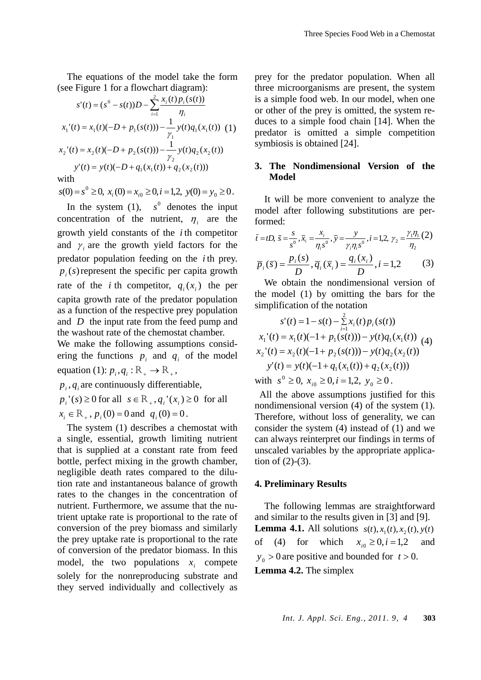The equations of the model take the form (see Figure 1 for a flowchart diagram):

$$
s'(t) = (s^0 - s(t))D - \sum_{i=1}^{2} \frac{x_i(t) p_i(s(t))}{\eta_i}
$$
  
\n
$$
x_1'(t) = x_1(t)(-D + p_1(s(t))) - \frac{1}{\gamma_1} y(t) q_1(x_1(t)) \quad (1)
$$
  
\n
$$
x_2'(t) = x_2(t)(-D + p_2(s(t))) - \frac{1}{\gamma_2} y(t) q_2(x_2(t))
$$
  
\n
$$
y'(t) = y(t)(-D + q_1(x_1(t)) + q_2(x_2(t)))
$$

with

 $s(0) = s^0 \ge 0$ ,  $x_i(0) = x_{i0} \ge 0$ ,  $i = 1,2$ ,  $y(0) = y_0 \ge 0$ .

In the system  $(1)$ ,  $s^0$  denotes the input concentration of the nutrient,  $\eta_i$  are the growth yield constants of the *i* th competitor and  $\gamma$  are the growth yield factors for the predator population feeding on the *i* th prey.  $p_i(s)$  represent the specific per capita growth rate of the *i* th competitor,  $q_i(x_i)$  the per capita growth rate of the predator population as a function of the respective prey population and *D* the input rate from the feed pump and the washout rate of the chemostat chamber.

We make the following assumptions considering the functions  $p_i$  and  $q_i$  of the model equation (1):  $p_i, q_i : \mathbb{R}_+ \to \mathbb{R}_+$ ,

 $p_i$ ,  $q_i$  are continuously differentiable,

 $p_i$ <sup>'</sup>(*s*) ≥ 0 for all  $s \in \mathbb{R}_+$ ,  $q_i$ <sup>'</sup>( $x_i$ ) ≥ 0 for all

 $x_i \in \mathbb{R}_+$ ,  $p_i(0) = 0$  and  $q_i(0) = 0$ .

The system (1) describes a chemostat with a single, essential, growth limiting nutrient that is supplied at a constant rate from feed bottle, perfect mixing in the growth chamber, negligible death rates compared to the dilution rate and instantaneous balance of growth rates to the changes in the concentration of nutrient. Furthermore, we assume that the nutrient uptake rate is proportional to the rate of conversion of the prey biomass and similarly the prey uptake rate is proportional to the rate of conversion of the predator biomass. In this model, the two populations  $x_i$  compete solely for the nonreproducing substrate and they served individually and collectively as

prey for the predator population. When all three microorganisms are present, the system is a simple food web. In our model, when one or other of the prey is omitted, the system reduces to a simple food chain [14]. When the predator is omitted a simple competition symbiosis is obtained [24].

## **3. The Nondimensional Version of the Model**

It will be more convenient to analyze the model after following substitutions are performed:

$$
\bar{t} = tD, \ \bar{s} = \frac{s}{s^0}, \bar{x}_i = \frac{x_i}{\eta_i s^0}, \ \bar{y} = \frac{y}{\gamma_i \eta_i s^0}, i = 1, 2, \ \gamma_2 = \frac{\gamma_i \eta_1}{\eta_2} (2)
$$
\n
$$
\bar{p}_i(\bar{s}) = \frac{p_i(s)}{D}, \ \bar{q}_i(\bar{x}_i) = \frac{q_i(x_i)}{D}, i = 1, 2 \tag{3}
$$

We obtain the nondimensional version of the model (1) by omitting the bars for the simplification of the notation

$$
s'(t) = 1 - s(t) - \sum_{i=1}^{2} x_i(t) p_i(s(t))
$$
  
\n
$$
x_1'(t) = x_1(t)(-1 + p_1(s(t))) - y(t)q_1(x_1(t))
$$
  
\n
$$
x_2'(t) = x_2(t)(-1 + p_2(s(t))) - y(t)q_2(x_2(t))
$$
  
\n
$$
y'(t) = y(t)(-1 + q_1(x_1(t)) + q_2(x_2(t)))
$$
  
\nwith  $s^0 \ge 0$ ,  $x_{i0} \ge 0$ ,  $i = 1, 2$ ,  $y_0 \ge 0$ .

All the above assumptions justified for this nondimensional version (4) of the system (1). Therefore, without loss of generality, we can consider the system (4) instead of (1) and we can always reinterpret our findings in terms of unscaled variables by the appropriate application of  $(2)-(3)$ .

#### **4. Preliminary Results**

The following lemmas are straightforward and similar to the results given in [3] and [9]. **Lemma 4.1.** All solutions  $s(t)$ ,  $x_1(t)$ ,  $x_2(t)$ ,  $y(t)$ of (4) for which  $x_{i0} \ge 0, i = 1, 2$  and  $y_0 > 0$  are positive and bounded for  $t > 0$ . **Lemma 4.2.** The simplex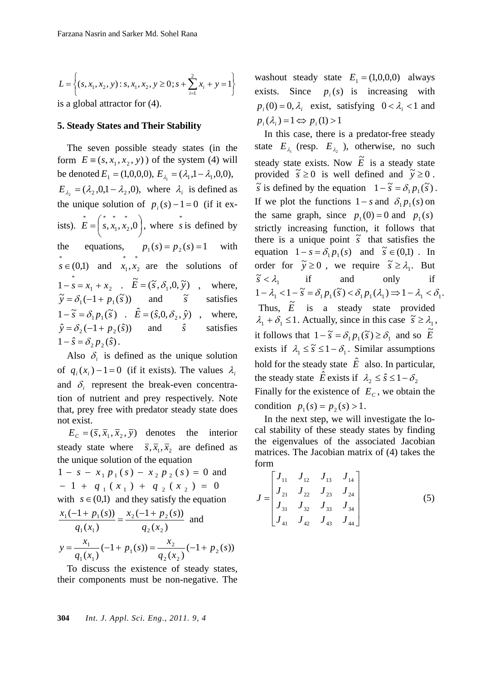$$
L = \left\{ (s, x_1, x_2, y) : s, x_1, x_2, y \ge 0; s + \sum_{i=1}^{2} x_i + y = 1 \right\}
$$

is a global attractor for (4).

#### **5. Steady States and Their Stability**

The seven possible steady states (in the form  $E = (s, x_1, x_2, y)$  of the system (4) will be denoted  $E_1 = (1,0,0,0), E_{\lambda_1} = (\lambda_1, 1 - \lambda_1, 0,0),$  $E_{\lambda_2} = (\lambda_2, 0, 1 - \lambda_2, 0)$ , where  $\lambda_i$  is defined as the unique solution of  $p_i(s) - 1 = 0$  (if it exists).  $E = |s, x_1, x_2, 0|$ ⎠  $\left( \begin{smallmatrix} * & * & * \ s , x_1 , x_2 , 0 \end{smallmatrix} \right)$ ⎝  $=\left(s, x_1, x_2, 0\right)$ 2 \* 1  $E = \begin{pmatrix} * & * \\ s, x_1, x_2, 0 \end{pmatrix}$ , where *s* is defined by the equations,  $p_1(s) = p_2(s) = 1$  with  $s \in (0,1)$  and  $\overline{x}_1, \overline{x}_2$  $x_1, x_2$  are the solutions of  $1 \tcdot \tcdot$  $1 - \overline{s} = x_1 + x_2$  .  $\widetilde{E} = (\widetilde{s}, \delta_1, 0, \widetilde{y})$  , where,  $\widetilde{y} = \delta_1(-1 + p_1(\widetilde{s}))$  and  $\widetilde{s}$ ~ satisfies  $1 - \tilde{s} = \delta_1 p_1(\tilde{s})$  .  $\hat{E} = (\hat{s}, 0, \delta_2, \hat{y})$  , where,  $\hat{y} = \delta_2(-1 + p_2(\hat{s}))$  and  $\hat{s}$  satisfies  $1 - \hat{s} = \delta_2 p_2(\hat{s})$ .

Also  $\delta_i$  is defined as the unique solution of  $q_i(x_i) - 1 = 0$  (if it exists). The values  $\lambda_i$ and  $\delta_i$  represent the break-even concentration of nutrient and prey respectively. Note that, prey free with predator steady state does not exist.

 $E_c = (\bar{s}, \bar{x}_1, \bar{x}_2, \bar{y})$  denotes the interior steady state where  $\overline{s}, \overline{x}_1, \overline{x}_2$  are defined as the unique solution of the equation

 $1 - s - x_1 p_1(s) - x_2 p_2(s) = 0$  and  $-1 + q_1 (x_1) + q_2 (x_2) = 0$ with  $s \in (0,1)$  and they satisfy the equation  $(x_2)$  $(-1 + p_2(s))$  $(x_1)$  $(-1 + p_1(s))$ 2  $\mathcal{U}_2$ 2  $\cdots$   $P_2$  $1^{11}$  $1 \cup 1 + P_1$  $q_2(x)$  $x_2(-1+p_2(s))$  $q_1(x)$  $\frac{x_1(-1+p_1(s))}{x_2(s)} = \frac{x_2(-1+p_2(s))}{x_2(s)}$  and  $\frac{x_1}{(x_1)}(-1+p_1(s)) = \frac{x_2}{q_2(x_2)}(-1+p_2(s))$ 2 1  $1^{11}$  $\frac{1}{2}(-1+p_1(s)) = \frac{x_2}{2}(-1+p_2(s))$  $q_2(x)$ *x*  $p_1(s)$  $q_1(x)$  $y = \frac{x_1}{(x_1 - (1 + p_1(s)))} = \frac{x_2}{(x_1 - (1 + p_1(s)))}$ 

To discuss the existence of steady states, their components must be non-negative. The

**304** *Int. J. Appl. Sci. Eng., 2011. 9, 4* 

washout steady state  $E_1 = (1,0,0,0)$  always exists. Since  $p_i(s)$  is increasing with  $p_i(0) = 0$ ,  $\lambda_i$  exist, satisfying  $0 < \lambda_i < 1$  and  $p_i(\lambda_i) = 1 \Leftrightarrow p_i(1) > 1$ 

In this case, there is a predator-free steady state  $E_{\lambda}$  (resp.  $E_{\lambda}$ ), otherwise, no such steady state exists. Now  $\tilde{E}$  is a steady state provided  $\tilde{s} \ge 0$  is well defined and  $\tilde{y} \ge 0$ .  $\widetilde{s}$  is defined by the equation  $1 - \widetilde{s} = \delta_1 p_1(\widetilde{s})$ . If we plot the functions  $1 - s$  and  $\delta_1 p_1(s)$  on the same graph, since  $p_1(0) = 0$  and  $p_1(s)$ strictly increasing function, it follows that there is a unique point  $\tilde{s}$  that satisfies the equation  $1 - s = \delta_1 p_1(s)$  and  $\tilde{s} \in (0,1)$ . In order for  $\tilde{y} \ge 0$ , we require  $\tilde{s} \ge \lambda_1$ . But  $\tilde{s} < \lambda$  $\tilde{s} < \lambda_1$  if and only if  $1 - \lambda_1 < 1 - \tilde{s} = \delta_1 p_1(\tilde{s}) < \delta_1 p_1(\lambda_1) \Rightarrow 1 - \lambda_1 < \delta_1$ . Thus,  $\tilde{E}$  is a steady state provided  $\lambda_1 + \delta_1 \leq 1$ . Actually, since in this case  $\tilde{s} \geq \lambda_1$ , it follows that  $1 - \tilde{s} = \delta_1 p_1(\tilde{s}) \ge \delta_1$  and so  $\tilde{E}$ exists if  $\lambda_1 \leq \tilde{s} \leq 1 - \delta_1$ . Similar assumptions hold for the steady state  $\hat{E}$  also. In particular, the steady state  $\hat{E}$  exists if  $\lambda_2 \leq \hat{s} \leq 1 - \delta_2$ Finally for the existence of  $E_c$ , we obtain the condition  $p_1(s) = p_2(s) > 1$ .

In the next step, we will investigate the local stability of these steady states by finding the eigenvalues of the associated Jacobian matrices. The Jacobian matrix of (4) takes the form

$$
J = \begin{bmatrix} J_{11} & J_{12} & J_{13} & J_{14} \\ J_{21} & J_{22} & J_{23} & J_{24} \\ J_{31} & J_{32} & J_{33} & J_{34} \\ J_{41} & J_{42} & J_{43} & J_{44} \end{bmatrix}
$$
 (5)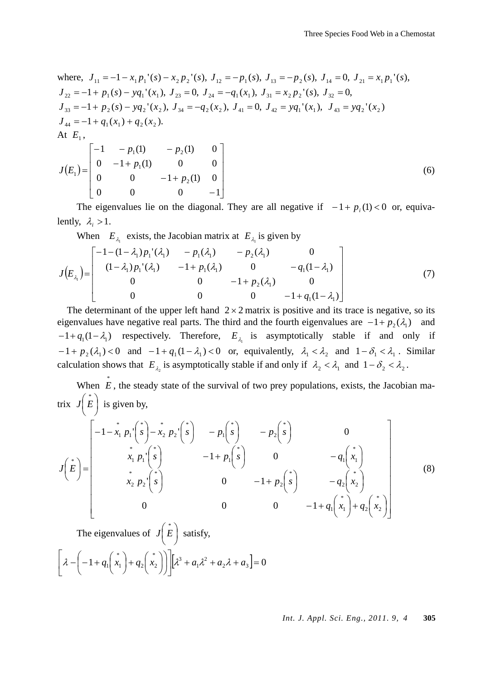where, 
$$
J_{11} = -1 - x_1 p_1'(s) - x_2 p_2'(s)
$$
,  $J_{12} = -p_1(s)$ ,  $J_{13} = -p_2(s)$ ,  $J_{14} = 0$ ,  $J_{21} = x_1 p_1'(s)$ ,  
\n $J_{22} = -1 + p_1(s) - yq_1'(x_1)$ ,  $J_{23} = 0$ ,  $J_{24} = -q_1(x_1)$ ,  $J_{31} = x_2 p_2'(s)$ ,  $J_{32} = 0$ ,  
\n $J_{33} = -1 + p_2(s) - yq_2'(x_2)$ ,  $J_{34} = -q_2(x_2)$ ,  $J_{41} = 0$ ,  $J_{42} = yq_1'(x_1)$ ,  $J_{43} = yq_2'(x_2)$   
\n $J_{44} = -1 + q_1(x_1) + q_2(x_2)$ .  
\nAt  $E_1$ ,  
\n
$$
\begin{bmatrix}\n-1 & -p_1(1) & -p_2(1) & 0 \\
0 & -1 + p_1(1) & 0 & 0\n\end{bmatrix}
$$

$$
J(E_1) = \begin{bmatrix} 0 & -1 + p_1(1) & 0 & 0 \\ 0 & 0 & -1 + p_2(1) & 0 \\ 0 & 0 & 0 & -1 \end{bmatrix}
$$
 (6)

The eigenvalues lie on the diagonal. They are all negative if  $-1 + p_i(1) < 0$  or, equivalently,  $\lambda_i > 1$ .

When  $E_{\lambda_1}$  exists, the Jacobian matrix at  $E_{\lambda_1}$  is given by

$$
J(E_{\lambda_i}) = \begin{bmatrix} -1 - (1 - \lambda_1) p_1'(\lambda_1) & -p_1(\lambda_1) & -p_2(\lambda_1) & 0 \\ (1 - \lambda_1) p_1'(\lambda_1) & -1 + p_1(\lambda_1) & 0 & -q_1(1 - \lambda_1) \\ 0 & 0 & -1 + p_2(\lambda_1) & 0 \\ 0 & 0 & 0 & -1 + q_1(1 - \lambda_1) \end{bmatrix}
$$
(7)

The determinant of the upper left hand  $2 \times 2$  matrix is positive and its trace is negative, so its eigenvalues have negative real parts. The third and the fourth eigenvalues are  $-1 + p_1(\lambda_1)$  and  $-1 + q_1(1 - \lambda_1)$  respectively. Therefore,  $E_{\lambda_1}$  is asymptotically stable if and only if  $-1 + p_2(\lambda_1) < 0$  and  $-1 + q_1(1 - \lambda_1) < 0$  or, equivalently,  $\lambda_1 < \lambda_2$  and  $1 - \delta_1 < \lambda_1$ . Similar calculation shows that  $E_{\lambda}$  is asymptotically stable if and only if  $\lambda_2 < \lambda_1$  and  $1 - \delta_2 < \lambda_2$ .

When 
$$
\vec{E}
$$
, the steady state of the survival of two prey populations, exists, the Jacobian matrix  $J(\vec{E})$  is given by,  
\n
$$
J(\vec{E}) = \begin{bmatrix}\n-1 - x_1 p_1'(\vec{s}) - x_2 p_2'(\vec{s}) & -p_1(\vec{s}) & -p_2(\vec{s}) & 0 \\
x_1 p_1'(\vec{s}) & -1 + p_1(\vec{s}) & 0 & -q_1(x_1) \\
x_2 p_2'(\vec{s}) & 0 & -1 + p_2(\vec{s}) & -q_2(x_2) \\
0 & 0 & 0 & -1 + q_1(\vec{x}_1) + q_2(\vec{x}_2)\n\end{bmatrix}
$$
\n(8)

The eigenvalues of  $|J|E|$  $\left(\begin{array}{c} * \ E \end{array}\right)$  $J(E)$  satisfy,

$$
\left[\lambda - \left(-1 + q_1\left(\begin{array}{c} x_1 \\ x_1 \end{array}\right) + q_2\left(\begin{array}{c} x_2 \\ x_2 \end{array}\right)\right)\right] \left[\lambda^3 + a_1\lambda^2 + a_2\lambda + a_3\right] = 0
$$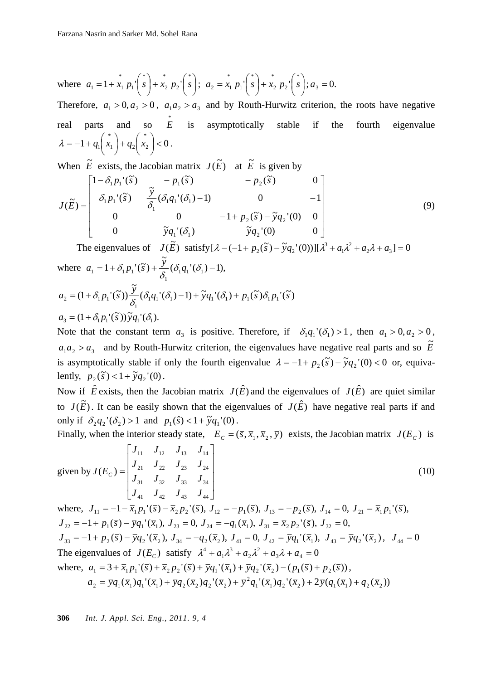where 
$$
a_1 = 1 + x_1 p_1' \begin{pmatrix} x \\ s \end{pmatrix} + x_2 p_2' \begin{pmatrix} x \\ s \end{pmatrix}; a_2 = x_1 p_1' \begin{pmatrix} x \\ s \end{pmatrix} + x_2 p_2' \begin{pmatrix} x \\ s \end{pmatrix}; a_3 = 0.
$$

Therefore,  $a_1 > 0$ ,  $a_2 > 0$ ,  $a_1 a_2 > a_3$  and by Routh-Hurwitz criterion, the roots have negative real parts and so  $E$ is asymptotically stable if the fourth eigenvalue  $1 + q_1\binom{x}{1} + q_2\binom{x}{2} < 0$  $\binom{x_1}{1} + q_2 \binom{x}{2} <$ ⎠  $\begin{pmatrix} * \\ x_2 \end{pmatrix}$ ⎝  $\Big| + q_2 \Big|$ ⎠  $\begin{pmatrix} * & * \\ x_1 & \end{pmatrix}$ ⎝  $\lambda = -1 + q_1 \binom{x_1}{x_1} + q_2 \binom{x_2}{x_2} < 0$ .

When  $\tilde{E}$  exists, the Jacobian matrix  $J(\tilde{E})$  at  $\tilde{E}$  is given by

$$
J(\tilde{E}) = \begin{bmatrix} 1 - \delta_1 p_1'(\tilde{s}) & -p_1(\tilde{s}) & -p_2(\tilde{s}) & 0 \\ \delta_1 p_1'(\tilde{s}) & \frac{\tilde{y}}{\delta_1} (\delta_1 q_1'(\delta_1) - 1) & 0 & -1 \\ 0 & 0 & -1 + p_2(\tilde{s}) - \tilde{y} q_2'(0) & 0 \\ 0 & \tilde{y} q_1'(\delta_1) & \tilde{y} q_2'(0) & 0 \end{bmatrix}
$$
(9)

The eigenvalues of  $J(\tilde{E})$  satisfy  $[\lambda - (-1 + p_2(\tilde{s}) - \tilde{y}q_2](0))] [\lambda^3 + a_1\lambda^2 + a_2\lambda + a_3] = 0$  $\lambda - (-1 + p_2(\tilde{s}) - \tilde{y}q_2'(0))] [\lambda^3 + a_1\lambda^2 + a_2\lambda + a_3] =$ where  $a_1 = 1 + \delta_1 p_1'(\tilde{s}) + \frac{y}{2} (\delta_1 q_1'(\delta_1) - 1),$  $1+\delta_1p_1'(\tilde{s})+\frac{\tilde{y}}{s}(\delta_1q_1'(\delta_1$  $a_1 = 1 + \delta_1 p_1'(\tilde{s}) + \frac{\tilde{y}}{\delta_1} (\delta_1 q_1'(\delta_1) \tilde{v}$ 

$$
a_2 = (1 + \delta_1 p_1'(\tilde{s})) \frac{\tilde{y}}{\delta_1} (\delta_1 q_1'(\delta_1) - 1) + \tilde{y} q_1'(\delta_1) + p_1(\tilde{s}) \delta_1 p_1'(\tilde{s})
$$
  

$$
a_3 = (1 + \delta_1 p_1'(\tilde{s})) \tilde{y} q_1'(\delta_1).
$$

Note that the constant term  $a_3$  is positive. Therefore, if  $\delta_1 q_1'(\delta_1) > 1$ , then  $a_1 > 0, a_2 > 0$ ,  $a_1 a_2 > a_3$  and by Routh-Hurwitz criterion, the eigenvalues have negative real parts and so  $\tilde{E}$ is asymptotically stable if only the fourth eigenvalue  $\lambda = -1 + p_2(\tilde{s}) - \tilde{y}q_2'(0) < 0$  or, equivalently,  $p_2(\tilde{s}) < 1 + \tilde{y}q_2(0)$ .

Now if  $\hat{E}$  exists, then the Jacobian matrix  $J(\hat{E})$  and the eigenvalues of  $J(\hat{E})$  are quiet similar to  $J(\tilde{E})$ . It can be easily shown that the eigenvalues of  $J(\hat{E})$  have negative real parts if and only if  $\delta_2 q_2'(\delta_2) > 1$  and  $p_1(\hat{s}) < 1 + \tilde{y}q_1'(0)$ .

Finally, when the interior steady state,  $E_c = (\bar{s}, \bar{x}_1, \bar{x}_2, \bar{y})$  exists, the Jacobian matrix  $J(E_c)$  is

$$
\text{given by } J(E_C) = \begin{bmatrix} J_{11} & J_{12} & J_{13} & J_{14} \\ J_{21} & J_{22} & J_{23} & J_{24} \\ J_{31} & J_{32} & J_{33} & J_{34} \\ J_{41} & J_{42} & J_{43} & J_{44} \end{bmatrix} \tag{10}
$$

where,  $J_{11} = -1 - \overline{x}_1 p_1'(\overline{s}) - \overline{x}_2 p_2'(\overline{s})$ ,  $J_{12} = -p_1(\overline{s})$ ,  $J_{13} = -p_2(\overline{s})$ ,  $J_{14} = 0$ ,  $J_{21} = \overline{x}_1 p_1'(\overline{s})$ ,  $J_{22} = -1 + p_1(\bar{s}) - \bar{y}q_1'(\bar{x}_1), J_{23} = 0, J_{24} = -q_1(\bar{x}_1), J_{31} = \bar{x}_2 p_2'(\bar{s}), J_{32} = 0,$  $J_{33} = -1 + p_2(\bar{s}) - \bar{y}q_2'(\bar{x}_2), J_{34} = -q_2(\bar{x}_2), J_{41} = 0, J_{42} = \bar{y}q_1'(\bar{x}_1), J_{43} = \bar{y}q_2'(\bar{x}_2), J_{44} = 0$ The eigenvalues of  $J(E_c)$  satisfy  $\lambda^4 + a_1 \lambda^3 + a_2 \lambda^2 + a_3 \lambda + a_4 = 0$ 2 3  $\lambda^4 + a_1 \lambda^3 + a_2 \lambda^2 + a_3 \lambda + a_4 =$ where,  $a_1 = 3 + \overline{x}_1 p_1'(\overline{s}) + \overline{x}_2 p_2'(\overline{s}) + \overline{y}q_1'(\overline{x}_1) + \overline{y}q_2'(\overline{x}_2) - (p_1(\overline{s}) + p_2(\overline{s}))$ ,  $a_2 = \overline{y}q_1(\overline{x}_1)q_1'(\overline{x}_1) + \overline{y}q_2(\overline{x}_2)q_2'(\overline{x}_2) + \overline{y}^2q_1'(\overline{x}_1)q_2'(\overline{x}_2) + 2\overline{y}(q_1(\overline{x}_1) + q_2(\overline{x}_2))$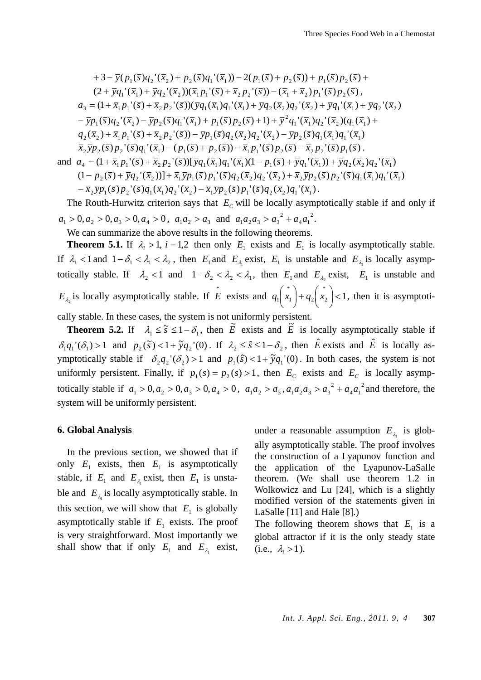$$
+3-\bar{y}(p_1(\bar{s})q_2'(\bar{x}_2)+p_2(\bar{s})q_1'(\bar{x}_1))-2(p_1(\bar{s})+p_2(\bar{s}))+p_1(\bar{s})p_2(\bar{s})+(2+\bar{y}q_1'(\bar{x}_1)+\bar{y}q_2'(\bar{x}_2))(\bar{x}_1p_1'(\bar{s})+\bar{x}_2p_2'(\bar{s}))-(\bar{x}_1+\bar{x}_2)p_1'(\bar{s})p_2(\bar{s}),a_3=(1+\bar{x}_1p_1'(\bar{s})+\bar{x}_2p_2'(\bar{s}))(\bar{y}q_1(\bar{x}_1)+\bar{y}q_2(\bar{x}_2)q_2'(\bar{x}_2)+\bar{y}q_1'(\bar{x}_1)+\bar{y}q_2'(\bar{x}_2)-\bar{y}p_1(\bar{s})q_2'(\bar{x}_2)-\bar{y}p_2(\bar{s})q_1'(\bar{x}_1)+p_1(\bar{s})p_2(\bar{s})+1)+\bar{y}^2q_1'(\bar{x}_1)q_2'(\bar{x}_2)(q_1(\bar{x}_1)+a_2(\bar{x}_2)+\bar{x}_1p_1'(\bar{s})+\bar{x}_2p_2'(\bar{s}))-\bar{y}p_1(\bar{s})q_2(\bar{x}_2)q_2'(\bar{x}_2)-\bar{y}p_2(\bar{s})q_1(\bar{x}_1)q_1'(\bar{x}_1)\bar{x}_2\bar{y}p_2(\bar{s})p_2'(\bar{s})q_1'(\bar{x}_1)-(p_1(\bar{s})+p_2(\bar{s}))-\bar{x}_1p_1'(\bar{s})p_2(\bar{s})-\bar{x}_2p_2'(\bar{s})p_1(\bar{s}).\nand a_4=(1+\bar{x}_1p_1'(\bar{s})+\bar{x}_2p_2'(\bar{s}))[\bar{y}q_1(\bar{x}_1)q_1'(\bar{x}_1)(1-p_1(\bar{s})+\bar{y}q_1'(\bar{x}_1))+\bar{y}q_2(\bar{x}_2)q_2'(\bar{x}_1)(1-p_2(\bar{s})+\bar{y}q_2'(\bar{x}_2))]+\bar{x}_1\bar{y}p_1(\bar{s})p_1'(\bar{s})q_2(\bar{x}_2)q_2'(\bar{x}_2)+\bar{x}_2\bar{y}p_2(\bar{s})p_2'(\bar{s})p_2'(\bar{s})
$$

The Routh-Hurwitz criterion says that  $E<sub>C</sub>$  will be locally asymptotically stable if and only if  $a_1 > 0, a_2 > 0, a_3 > 0, a_4 > 0, a_1 a_2 > a_3$  and  $a_1 a_2 a_3 > a_3^2 + a_4 a_1^2$ .  $4^{\mathbf{u}}1$  $a_1 a_2 a_3 > a_3^2 + a_4 a$ 

We can summarize the above results in the following theorems.

**Theorem 5.1.** If  $\lambda_i > 1$ ,  $i = 1, 2$  then only  $E_1$  exists and  $E_1$  is locally asymptotically stable. If  $\lambda_1 < 1$  and  $1 - \delta_1 < \lambda_2$ , then  $E_1$  and  $E_2$  exist,  $E_1$  is unstable and  $E_2$  is locally asymptotically stable. If  $\lambda_2 < 1$  and  $1 - \delta_2 < \lambda_2 < \lambda_1$ , then  $E_1$  and  $E_{\lambda_2}$  exist,  $E_1$  is unstable and  $E_{\lambda_2}$  is locally asymptotically stable. If  $\overrightarrow{E}$  exists and  $q_1\left(\overrightarrow{x_1}\right) + q_2\left(\overrightarrow{x_2}\right) < 1$  $\binom{x_1}{1} + q_2 \binom{x}{2} <$ ⎠  $\begin{pmatrix} * \\ x_2 \end{pmatrix}$ ⎝  $\Big| + q_2 \Big|$ ⎠  $\begin{pmatrix} * & * \\ x_1 & \end{pmatrix}$ ⎝  $q_1\begin{pmatrix} x \\ x_1 \end{pmatrix} + q_2\begin{pmatrix} x \\ x_2 \end{pmatrix} < 1$ , then it is asymptotically stable. In these cases, the system is not uniformly persistent.

**Theorem 5.2.** If  $\lambda_1 \leq \tilde{s} \leq 1 - \delta_1$ , then  $\tilde{E}$  exists and  $\tilde{E}$  is locally asymptotically stable if  $\delta_1 q_1'(\delta_1) > 1$  and  $p_2(\tilde{s}) < 1 + \tilde{y}q_2'(0)$ . If  $\lambda_2 \leq \hat{s} \leq 1 - \delta_2$ , then  $\hat{E}$  exists and  $\hat{E}$  is locally asymptotically stable if  $\delta_2 q_2'(\delta_2) > 1$  and  $p_1(\hat{s}) < 1 + \tilde{y}q_1'(0)$ . In both cases, the system is not uniformly persistent. Finally, if  $p_1(s) = p_2(s) > 1$ , then  $E_c$  exists and  $E_c$  is locally asymptotically stable if  $a_1 > 0$ ,  $a_2 > 0$ ,  $a_3 > 0$ ,  $a_4 > 0$ ,  $a_1 a_2 > a_3$ ,  $a_1 a_2 a_3 > a_3^2 + a_4 a_1^2$  $a_1 a_2 a_3 > a_3^2 + a_4 a_1^2$  and therefore, the system will be uniformly persistent.

#### **6. Global Analysis**

In the previous section, we showed that if only  $E_1$  exists, then  $E_1$  is asymptotically stable, if  $E_1$  and  $E_{\lambda}$  exist, then  $E_1$  is unstable and  $E_{\lambda}$  is locally asymptotically stable. In this section, we will show that  $E_1$  is globally asymptotically stable if  $E_1$  exists. The proof is very straightforward. Most importantly we shall show that if only  $E_1$  and  $E_{\lambda_1}$  exist,

under a reasonable assumption  $E_{\lambda_1}$  is globally asymptotically stable. The proof involves the construction of a Lyapunov function and the application of the Lyapunov-LaSalle theorem. (We shall use theorem 1.2 in Wolkowicz and Lu [24], which is a slightly modified version of the statements given in LaSalle [11] and Hale [8].)

The following theorem shows that  $E_1$  is a global attractor if it is the only steady state  $(i.e., \lambda_i > 1).$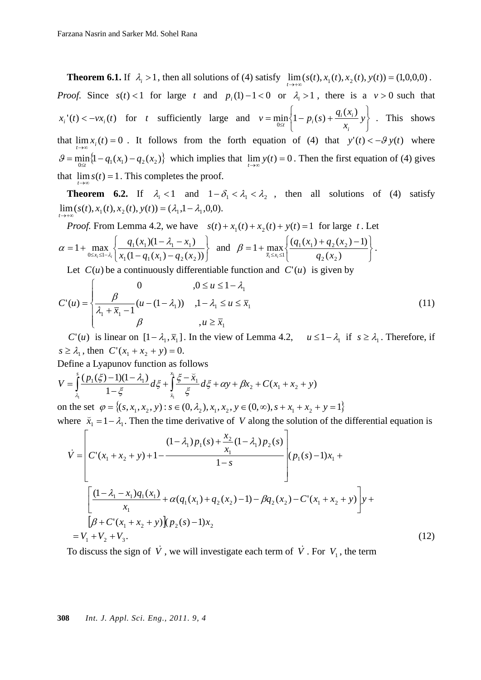**Theorem 6.1.** If  $\lambda_i > 1$ , then all solutions of (4) satisfy  $\lim_{t \to +\infty} (s(t), x_1(t), x_2(t), y(t)) = (1,0,0,0)$ . *Proof.* Since  $s(t) < 1$  for large *t* and  $p_i(1) - 1 < 0$  or  $\lambda_i > 1$ , there is a  $v > 0$  such that  $x_i'(t) < -vx_i(t)$  for *t* sufficiently large and ⎭  $\left\{ \right\}$  $\vert$  $\overline{a}$  $=\min_{0 \leq t} \left\{1 - p_i(s) + \frac{q_i(x_i)}{x_i} y\right\}$  $v = \min \left\{ 1 - p_i(s) + \frac{q_i(x)}{q_i(s)} \right\}$ *i*  $\min_{0 \le t}$   $\left\{1 - p_i(s) + \frac{q_i(x_i)}{x} y\right\}$ . This shows that  $\lim_{t \to \infty} x_i(t) = 0$ . It follows from the forth equation of (4) that  $y'(t) < -\theta y(t)$  where  $\mathcal{G} = \min_{0 \le t} \{1 - q_1(x_1) - q_2(x_2)\}$  which implies that  $\lim_{t \to \infty} y(t) = 0$ . Then the first equation of (4) gives that  $\lim_{t \to \infty} s(t) = 1$ . This completes the proof.

**Theorem 6.2.** If  $\lambda_i < 1$  and  $1 - \delta_1 < \lambda_2 < \lambda_2$ , then all solutions of (4) satisfy  $\lim_{t \to +\infty} (s(t), x_1(t), x_2(t), y(t)) = (\lambda_1, 1 - \lambda_1, 0, 0).$ 

*Proof.* From Lemma 4.2, we have  $s(t) + x_1(t) + x_2(t) + y(t) = 1$  for large *t*. Let ⎭  $\left\{ \right\}$  $\vert$  $\overline{\mathcal{L}}$ ⎨  $\sqrt{2}$  $= 1 + \max_{0 \le x_i \le 1 - \lambda_i} \left\{ \frac{q_1(x_1)(1 - \lambda_1 - x_1)}{x_1(1 - q_1(x_1) - q_2(x_2))} \right\}$  $q_1(x_1, q_2(x_2))$  $1^{(\lambda_1)(1-\lambda_1)}$   $\lambda_1$  $\int_{0 \leq x_i \leq 1 - \lambda_i} \left| x_1 (1 - q_1(x_i)) - q_2(x_i) \right|$  $q_1(x_1)(1 - \lambda_1 - x)$  $x_i \leq 1 - \lambda_i$  $\alpha = 1 + \max_{0 \le x_i \le 1-\lambda} \left\{ \frac{q_1(x_1)(1-\lambda_1 - x_1)}{r(1-a_1)(1-a_1)(1-a_1)} \right\}$  and ⎭  $\left\{ \right.$  $\vert$  $\overline{a}$  $=1+\max_{\bar{x}_i\leq x_i\leq 1}\left\{\frac{(q_1(x_1)+q_2(x_2)-1)}{q_2(x_2)}\right\}$  $2^{2}$  $1^{(1)}$   $(2^{1})$  $q_2(x)$  $q_1(x_1) + q_2(x)$  $\beta = 1 + \max_{\bar{x}_i \le x_i \le 1} \left\{ \frac{(q_1(x_1) + q_2(x_2) - 1)}{q_2(x_2)} \right\}.$ 

Let  $C(u)$  be a continuously differentiable function and  $C'(u)$  is given by

$$
C'(u) = \begin{cases} 0 & , 0 \le u \le 1 - \lambda_1 \\ \frac{\beta}{\lambda_1 + \overline{x}_1 - 1} (u - (1 - \lambda_1)) & , 1 - \lambda_1 \le u \le \overline{x}_1 \\ \beta & , u \ge \overline{x}_1 \end{cases}
$$
(11)

*C*'(*u*) is linear on  $[1 - \lambda_1, \overline{x}_1]$ . In the view of Lemma 4.2,  $u \le 1 - \lambda_1$  if  $s \ge \lambda_1$ . Therefore, if  $s \geq \lambda_1$ , then  $C'(x_1 + x_2 + y) = 0$ .

Define a Lyapunov function as follows

$$
V = \int_{\lambda_1}^{s} \frac{(p_1(\xi) - 1)(1 - \lambda_1)}{1 - \xi} d\xi + \int_{\overline{x}_1}^{\overline{x}_1} \frac{\xi - \overline{x}_1}{\xi} d\xi + \alpha y + \beta x_2 + C(x_1 + x_2 + y)
$$

on the set  $\varphi = \{(s, x_1, x_2, y) : s \in (0, \lambda_2), x_1, x_2, y \in (0, \infty), s + x_1 + x_2 + y = 1\}$ where  $\bar{x}_1 = 1 - \lambda_1$ . Then the time derivative of *V* along the solution of the differential equation is

$$
\dot{V} = \begin{bmatrix} (1 - \lambda_1) p_1(s) + \frac{x_2}{x_1} (1 - \lambda_1) p_2(s) \\ C'(x_1 + x_2 + y) + 1 - \frac{1 - s}{1 - s} \end{bmatrix} (p_1(s) - 1)x_1 + \frac{[(1 - \lambda_1 - x_1)q_1(x_1) + \alpha(q_1(x_1) + q_2(x_2) - 1) - \beta q_2(x_2) - C'(x_1 + x_2 + y)]y + \\ \left[ \beta + C'(x_1 + x_2 + y) \right] (p_2(s) - 1)x_2 \\ = V_1 + V_2 + V_3. \tag{12}
$$

To discuss the sign of  $\dot{V}$ , we will investigate each term of  $\dot{V}$ . For  $V_1$ , the term

#### **308** *Int. J. Appl. Sci. Eng., 2011. 9, 4*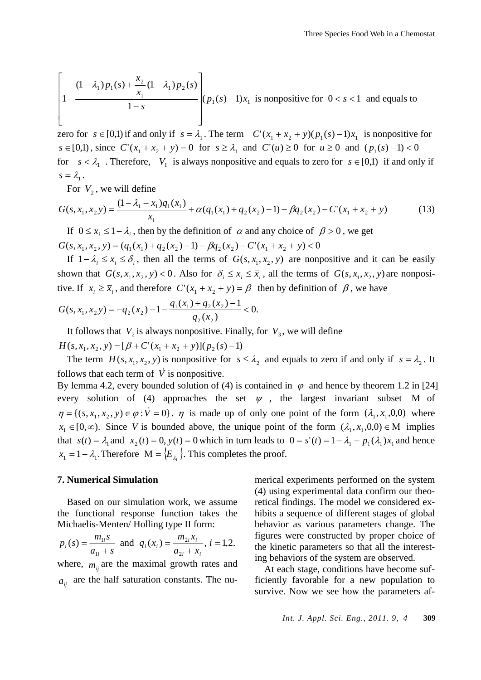$$
\left[1 - \frac{(1 - \lambda_1)p_1(s) + \frac{x_2}{x_1}(1 - \lambda_1)p_2(s)}{1 - s}\right](p_1(s) - 1)x_1
$$
 is nonpositive for  $0 < s < 1$  and equals to

zero for  $s \in [0,1)$  if and only if  $s = \lambda_1$ . The term  $C'(x_1 + x_2 + y)(p_1(s) - 1)x_1$  is nonpositive for  $s \in [0,1)$ , since  $C'(x_1 + x_2 + y) = 0$  for  $s \ge \lambda_1$  and  $C'(u) \ge 0$  for  $u \ge 0$  and  $(p_1(s) - 1) < 0$ for  $s < \lambda_1$ . Therefore,  $V_1$  is always nonpositive and equals to zero for  $s \in [0,1)$  if and only if  $s = \lambda_1$ .

For  $V_2$ , we will define

$$
G(s, x_1, x_2 y) = \frac{(1 - \lambda_1 - x_1)q_1(x_1)}{x_1} + \alpha(q_1(x_1) + q_2(x_2) - 1) - \beta q_2(x_2) - C'(x_1 + x_2 + y)
$$
(13)

If 0 ≤  $x_i$  ≤ 1 −  $\lambda_i$ , then by the definition of  $\alpha$  and any choice of  $\beta > 0$ , we get  $G(s, x_1, x_2, y) = (q_1(x_1) + q_2(x_2) - 1) - \beta q_2(x_2) - C'(x_1 + x_2 + y) < 0$ 

If  $1 - \lambda_i \leq x_i \leq \delta_i$ , then all the terms of  $G(s, x_1, x_2, y)$  are nonpositive and it can be easily shown that  $G(s, x_1, x_2, y) < 0$ . Also for  $\delta_i \le x_i \le \overline{x}_i$ , all the terms of  $G(s, x_1, x_2, y)$  are nonpositive. If  $x_i \ge \overline{x}_i$ , and therefore  $C'(x_1 + x_2 + y) = \beta$  then by definition of  $\beta$ , we have

$$
G(s, x_1, x_2 y) = -q_2(x_2) - 1 - \frac{q_1(x_1) + q_2(x_2) - 1}{q_2(x_2)} < 0.
$$

It follows that  $V_2$  is always nonpositive. Finally, for  $V_3$ , we will define  $H(s, x_1, x_2, y) = [\beta + C'(x_1 + x_2 + y)](p_2(s) - 1)$ 

The term  $H(s, x_1, x_2, y)$  is nonpositive for  $s \leq \lambda_2$  and equals to zero if and only if  $s = \lambda_2$ . It follows that each term of  $\dot{V}$  is nonpositive.

By lemma 4.2, every bounded solution of (4) is contained in  $\varphi$  and hence by theorem 1.2 in [24] every solution of (4) approaches the set  $\psi$ , the largest invariant subset M of  $\eta = \{(s, x_1, x_2, y) \in \varphi : V = 0\}$ .  $\eta$  is made up of only one point of the form  $(\lambda_1, x_1, 0, 0)$  where  $x_1 \in [0, \infty)$ . Since *V* is bounded above, the unique point of the form  $(\lambda_1, x_1, 0, 0) \in M$  implies that  $s(t) = \lambda_1$  and  $x_2(t) = 0$ ,  $y(t) = 0$  which in turn leads to  $0 = s'(t) = 1 - \lambda_1 - p_1(\lambda_1)x_1$  and hence  $x_1 = 1 - \lambda_1$ . Therefore  $M = \{E_{\lambda}\}\.$  This completes the proof.

#### **7. Numerical Simulation**

Based on our simulation work, we assume the functional response function takes the Michaelis-Menten/ Holling type II form:

$$
p_i(s) = \frac{m_{1i}s}{a_{1i} + s}
$$
 and  $q_i(x_i) = \frac{m_{2i}x_i}{a_{2i} + x_i}$ ,  $i = 1,2$ .

where,  $m_{ii}$  are the maximal growth rates and  $a_{ii}$  are the half saturation constants. The numerical experiments performed on the system (4) using experimental data confirm our theoretical findings. The model we considered exhibits a sequence of different stages of global behavior as various parameters change. The figures were constructed by proper choice of the kinetic parameters so that all the interesting behaviors of the system are observed.

At each stage, conditions have become sufficiently favorable for a new population to survive. Now we see how the parameters af-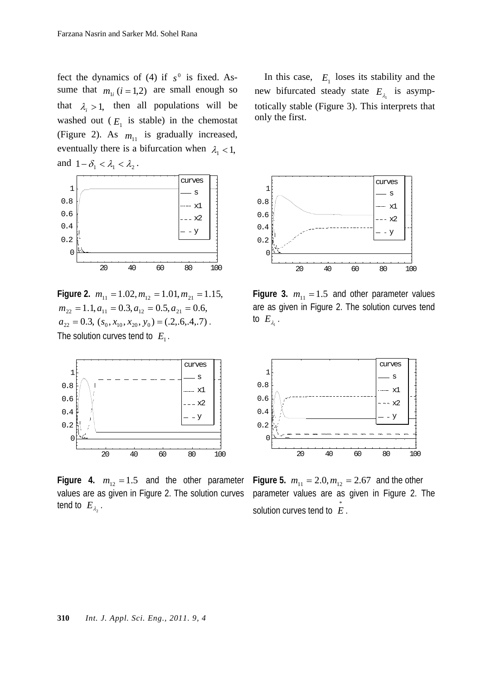fect the dynamics of (4) if  $s^0$  is fixed. Assume that  $m_{1i}$  ( $i = 1,2$ ) are small enough so that  $\lambda_i > 1$ , then all populations will be washed out  $(E_1$  is stable) in the chemostat (Figure 2). As  $m_{11}$  is gradually increased, eventually there is a bifurcation when  $\lambda_1$  < 1, and  $1 - \delta_1 < \lambda_1 < \lambda_2$ .



**Figure 2.**  $m_{11} = 1.02, m_{12} = 1.01, m_{21} = 1.15,$  $m_{22} = 1.1, a_{11} = 0.3, a_{12} = 0.5, a_{21} = 0.6,$  $a_{22} = 0.3$ ,  $(s_0, x_{10}, x_{20}, y_0) = (.2, .6, .4, .7)$ . The solution curves tend to  $E_1$ .



**Figure 4.**  $m_{12} = 1.5$  and the other parameter values are as given in Figure 2. The solution curves tend to  $E_{\lambda}$ .

In this case,  $E_1$  loses its stability and the new bifurcated steady state  $E_i$  is asymptotically stable (Figure 3). This interprets that only the first.



**Figure 3.**  $m_{11} = 1.5$  and other parameter values are as given in Figure 2. The solution curves tend to  $E_{\lambda}$ .



**Figure 5.**  $m_{11} = 2.0, m_{12} = 2.67$  and the other parameter values are as given in Figure 2. The solution curves tend to  $\stackrel{*}{E}$ .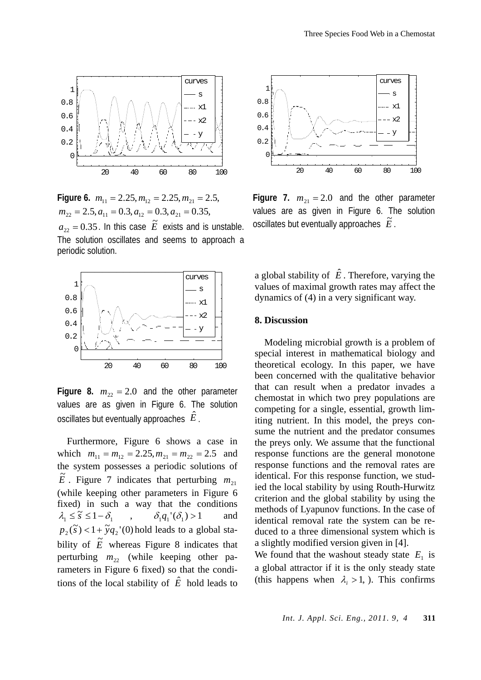

**Figure 6.**  $m_{11} = 2.25, m_{12} = 2.25, m_{21} = 2.5,$  $m_{22} = 2.5, a_{11} = 0.3, a_{12} = 0.3, a_{21} = 0.35,$  $a_{22} = 0.35$ . In this case  $\tilde{E}$  exists and is unstable. The solution oscillates and seems to approach a periodic solution.



**Figure 8.**  $m_{22} = 2.0$  and the other parameter values are as given in Figure 6. The solution oscillates but eventually approaches *E*ˆ .

Furthermore, Figure 6 shows a case in which  $m_{11} = m_{12} = 2.25, m_{21} = m_{22} = 2.5$  and the system possesses a periodic solutions of  $\tilde{E}$ . Figure 7 indicates that perturbing  $m_{21}$ (while keeping other parameters in Figure 6 fixed) in such a way that the conditions  $\lambda_1 \leq \tilde{s} \leq 1 - \delta_1$ ,  $\delta_1 q_1'(\delta_1) > 1$  and  $p_2(\tilde{s}) < 1 + \tilde{y}q_2$ '(0) hold leads to a global stability of  $\tilde{E}$  whereas Figure 8 indicates that perturbing  $m_{22}$  (while keeping other parameters in Figure 6 fixed) so that the conditions of the local stability of  $\hat{E}$  hold leads to



**Figure 7.**  $m_{21} = 2.0$  and the other parameter values are as given in Figure 6. The solution  $\frac{1}{2}$  cosenable  $\frac{1}{2}$  and  $\frac{1}{2}$  and  $\frac{1}{2}$  are  $\frac{1}{2}$  and  $\frac{1}{2}$  are  $\frac{1}{2}$  and  $\frac{1}{2}$  are  $\frac{1}{2}$  are  $\frac{1}{2}$  are  $\frac{1}{2}$  are  $\frac{1}{2}$  are  $\frac{1}{2}$  are  $\frac{1}{2}$  are  $\frac{1}{2}$  are  $\frac{1$ 

a global stability of  $\hat{E}$ . Therefore, varying the values of maximal growth rates may affect the dynamics of (4) in a very significant way.

#### **8. Discussion**

Modeling microbial growth is a problem of special interest in mathematical biology and theoretical ecology. In this paper, we have been concerned with the qualitative behavior that can result when a predator invades a chemostat in which two prey populations are competing for a single, essential, growth limiting nutrient. In this model, the preys consume the nutrient and the predator consumes the preys only. We assume that the functional response functions are the general monotone response functions and the removal rates are identical. For this response function, we studied the local stability by using Routh-Hurwitz criterion and the global stability by using the methods of Lyapunov functions. In the case of identical removal rate the system can be reduced to a three dimensional system which is a slightly modified version given in [4].

We found that the washout steady state  $E_1$  is a global attractor if it is the only steady state (this happens when  $\lambda_i > 1$ , ). This confirms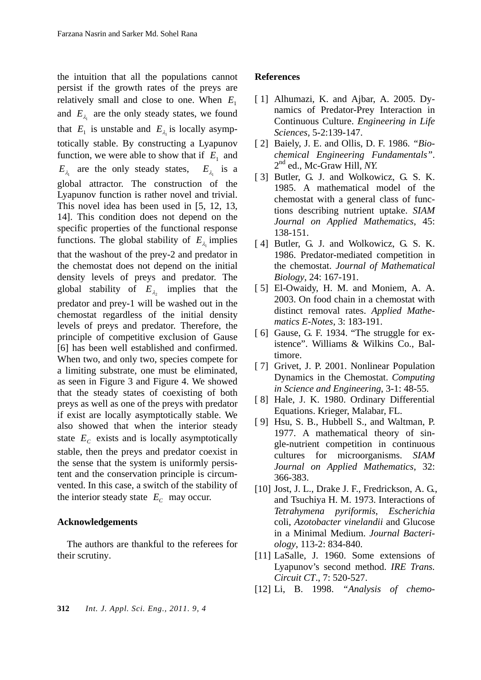the intuition that all the populations cannot persist if the growth rates of the preys are relatively small and close to one. When  $E_1$ and  $E_{\lambda}$  are the only steady states, we found that  $E_1$  is unstable and  $E_{\lambda}$  is locally asymptotically stable. By constructing a Lyapunov function, we were able to show that if  $E_1$  and  $E_{\lambda_1}$  are the only steady states,  $E_{\lambda_1}$  is a global attractor. The construction of the Lyapunov function is rather novel and trivial. This novel idea has been used in [5, 12, 13, 14]. This condition does not depend on the specific properties of the functional response functions. The global stability of  $E_{\lambda}$  implies that the washout of the prey-2 and predator in the chemostat does not depend on the initial density levels of preys and predator. The global stability of  $E_{\lambda}$  implies that the predator and prey-1 will be washed out in the chemostat regardless of the initial density levels of preys and predator. Therefore, the principle of competitive exclusion of Gause [6] has been well established and confirmed. When two, and only two, species compete for a limiting substrate, one must be eliminated, as seen in Figure 3 and Figure 4. We showed that the steady states of coexisting of both preys as well as one of the preys with predator if exist are locally asymptotically stable. We also showed that when the interior steady state  $E_c$  exists and is locally asymptotically stable, then the preys and predator coexist in the sense that the system is uniformly persistent and the conservation principle is circumvented. In this case, a switch of the stability of the interior steady state  $E_c$  may occur.

#### **Acknowledgements**

The authors are thankful to the referees for their scrutiny.

**References** 

[ 2] Baiely, J. E. and Ollis, D. F. 1986. *"Biochemical Engineering Fundamentals"*. 2nd ed., Mc-Graw Hill*, NY.*

*Sciences,* 5-2:139-147.

[1] Alhumazi, K. and Ajbar, A. 2005. Dynamics of Predator-Prey Interaction in Continuous Culture. *Engineering in Life* 

- [3] Butler, G. J. and Wolkowicz, G. S. K. 1985. A mathematical model of the chemostat with a general class of functions describing nutrient uptake. *SIAM Journal on Applied Mathematics*, 45: 138-151.
- [4] Butler, G. J. and Wolkowicz, G. S. K. 1986. Predator-mediated competition in the chemostat. *Journal of Mathematical Biology*, 24: 167-191.
- [ 5] El-Owaidy, H. M. and Moniem, A. A. 2003. On food chain in a chemostat with distinct removal rates. *Applied Mathematics E-Notes*, 3: 183-191.
- [6] Gause, G. F. 1934. "The struggle for existence". Williams & Wilkins Co., Baltimore.
- [ 7] Grivet, J. P. 2001. Nonlinear Population Dynamics in the Chemostat. *Computing in Science and Engineering*, 3-1: 48-55.
- [8] Hale, J. K. 1980. Ordinary Differential Equations. Krieger, Malabar, FL.
- [ 9] Hsu, S. B., Hubbell S., and Waltman, P. 1977. A mathematical theory of single-nutrient competition in continuous cultures for microorganisms. *SIAM Journal on Applied Mathematics*, 32: 366-383.
- [10] Jost, J. L., Drake J. F., Fredrickson, A. G., and Tsuchiya H. M. 1973. Interactions of *Tetrahymena pyriformis*, *Escherichia* coli, *Azotobacter vinelandii* and Glucose in a Minimal Medium. *Journal Bacteriology*, 113-2: 834-840.
- [11] LaSalle, J. 1960. Some extensions of Lyapunov's second method. *IRE Trans. Circuit CT*., 7: 520-527.
- [12] Li, B. 1998. *"Analysis of chemo-*